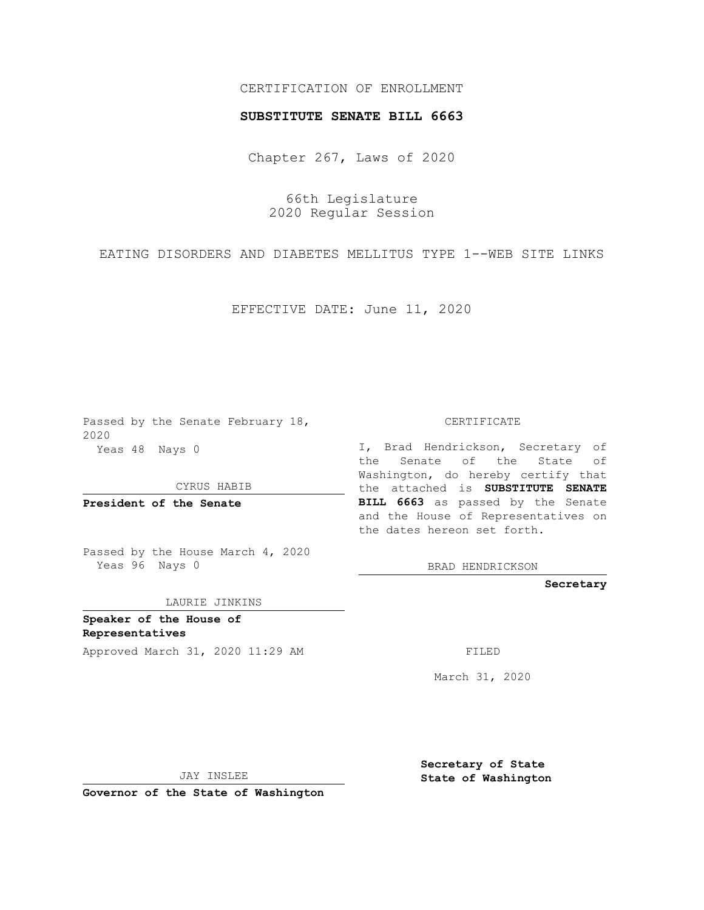## CERTIFICATION OF ENROLLMENT

## **SUBSTITUTE SENATE BILL 6663**

Chapter 267, Laws of 2020

66th Legislature 2020 Regular Session

EATING DISORDERS AND DIABETES MELLITUS TYPE 1--WEB SITE LINKS

EFFECTIVE DATE: June 11, 2020

Passed by the Senate February 18, 2020 Yeas 48 Nays 0

CYRUS HABIB

**President of the Senate**

Passed by the House March 4, 2020 Yeas 96 Nays 0

LAURIE JINKINS

**Speaker of the House of Representatives**

Approved March 31, 2020 11:29 AM

CERTIFICATE

I, Brad Hendrickson, Secretary of the Senate of the State of Washington, do hereby certify that the attached is **SUBSTITUTE SENATE BILL 6663** as passed by the Senate and the House of Representatives on the dates hereon set forth.

BRAD HENDRICKSON

**Secretary**

March 31, 2020

JAY INSLEE

**Governor of the State of Washington**

**Secretary of State State of Washington**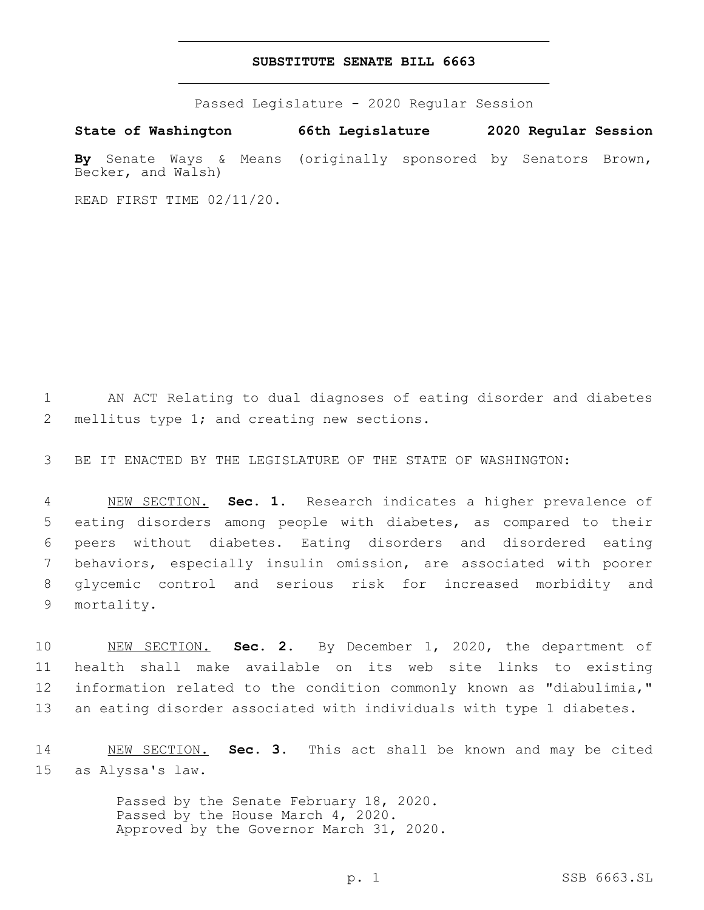## **SUBSTITUTE SENATE BILL 6663**

Passed Legislature - 2020 Regular Session

**State of Washington 66th Legislature 2020 Regular Session By** Senate Ways & Means (originally sponsored by Senators Brown, Becker, and Walsh)

READ FIRST TIME 02/11/20.

1 AN ACT Relating to dual diagnoses of eating disorder and diabetes 2 mellitus type 1; and creating new sections.

3 BE IT ENACTED BY THE LEGISLATURE OF THE STATE OF WASHINGTON:

 NEW SECTION. **Sec. 1.** Research indicates a higher prevalence of eating disorders among people with diabetes, as compared to their peers without diabetes. Eating disorders and disordered eating behaviors, especially insulin omission, are associated with poorer glycemic control and serious risk for increased morbidity and mortality.

 NEW SECTION. **Sec. 2.** By December 1, 2020, the department of health shall make available on its web site links to existing information related to the condition commonly known as "diabulimia," an eating disorder associated with individuals with type 1 diabetes.

14 NEW SECTION. **Sec. 3.** This act shall be known and may be cited 15 as Alyssa's law.

> Passed by the Senate February 18, 2020. Passed by the House March 4, 2020. Approved by the Governor March 31, 2020.